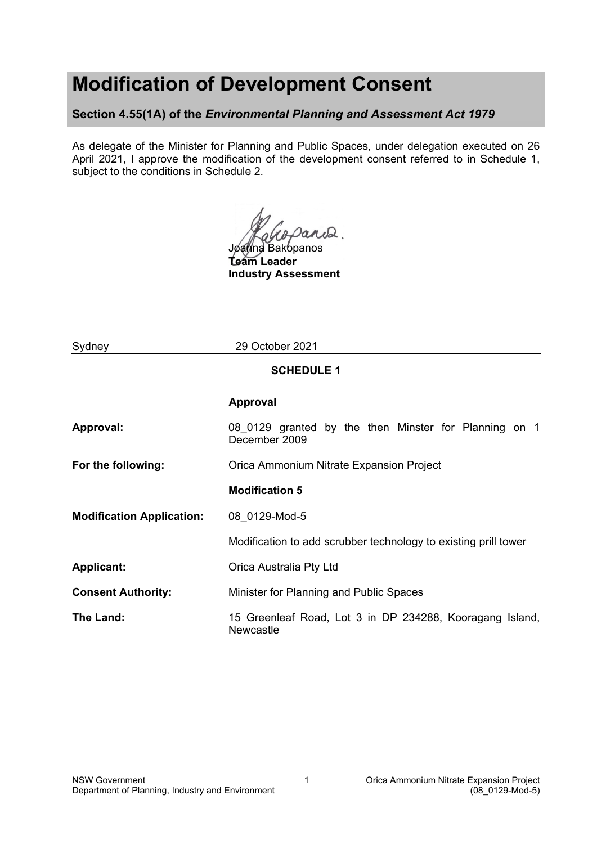# **Modification of Development Consent**

**Section 4.55(1A) of the** *Environmental Planning and Assessment Act 1979*

As delegate of the Minister for Planning and Public Spaces, under delegation executed on 26 April 2021, I approve the modification of the development consent referred to in Schedule 1, subject to the conditions in Schedule 2.

Joanna Bakopanos

**Team Leader Industry Assessment**

| Sydney                           | 29 October 2021                                                        |  |  |  |  |  |
|----------------------------------|------------------------------------------------------------------------|--|--|--|--|--|
| <b>SCHEDULE 1</b>                |                                                                        |  |  |  |  |  |
|                                  | <b>Approval</b>                                                        |  |  |  |  |  |
| Approval:                        | 08 0129 granted by the then Minster for Planning on 1<br>December 2009 |  |  |  |  |  |
| For the following:               | Orica Ammonium Nitrate Expansion Project                               |  |  |  |  |  |
|                                  | <b>Modification 5</b>                                                  |  |  |  |  |  |
| <b>Modification Application:</b> | 08 0129-Mod-5                                                          |  |  |  |  |  |
|                                  | Modification to add scrubber technology to existing prill tower        |  |  |  |  |  |
| <b>Applicant:</b>                | Orica Australia Pty Ltd                                                |  |  |  |  |  |
| <b>Consent Authority:</b>        | Minister for Planning and Public Spaces                                |  |  |  |  |  |
| The Land:                        | 15 Greenleaf Road, Lot 3 in DP 234288, Kooragang Island,<br>Newcastle  |  |  |  |  |  |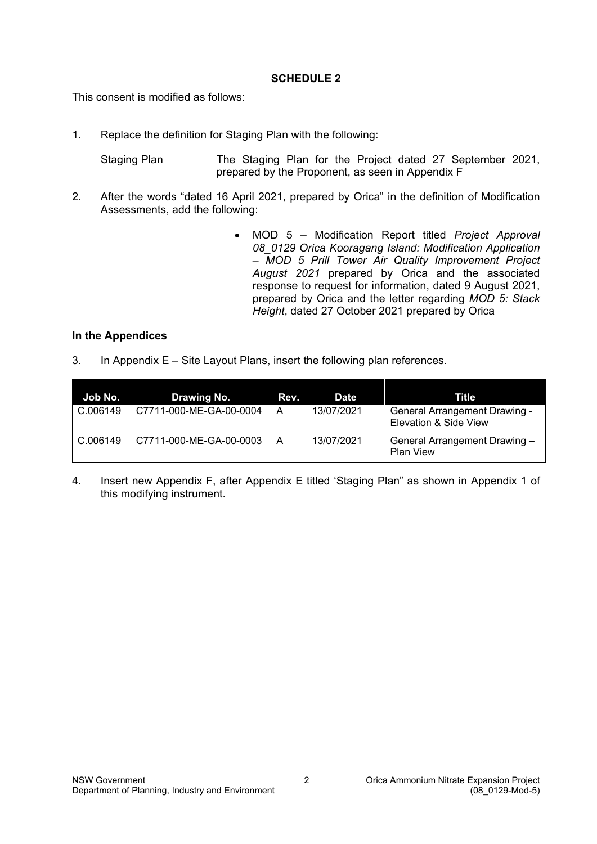#### **SCHEDULE 2**

This consent is modified as follows:

1. Replace the definition for Staging Plan with the following:

Staging Plan The Staging Plan for the Project dated 27 September 2021, prepared by the Proponent, as seen in Appendix F

- 2. After the words "dated 16 April 2021, prepared by Orica" in the definition of Modification Assessments, add the following:
	- MOD 5 Modification Report titled *Project Approval 08\_0129 Orica Kooragang Island: Modification Application – MOD 5 Prill Tower Air Quality Improvement Project August 2021* prepared by Orica and the associated response to request for information, dated 9 August 2021, prepared by Orica and the letter regarding *MOD 5: Stack Height*, dated 27 October 2021 prepared by Orica

#### **In the Appendices**

3. In Appendix E – Site Layout Plans, insert the following plan references.

| Job No.  | Drawing No.             | Rev. | Date       | Title                                                         |
|----------|-------------------------|------|------------|---------------------------------------------------------------|
| C.006149 | C7711-000-ME-GA-00-0004 | A    | 13/07/2021 | <b>General Arrangement Drawing -</b><br>Elevation & Side View |
| C.006149 | C7711-000-ME-GA-00-0003 | A    | 13/07/2021 | General Arrangement Drawing -<br><b>Plan View</b>             |

4. Insert new Appendix F, after Appendix E titled 'Staging Plan" as shown in Appendix 1 of this modifying instrument.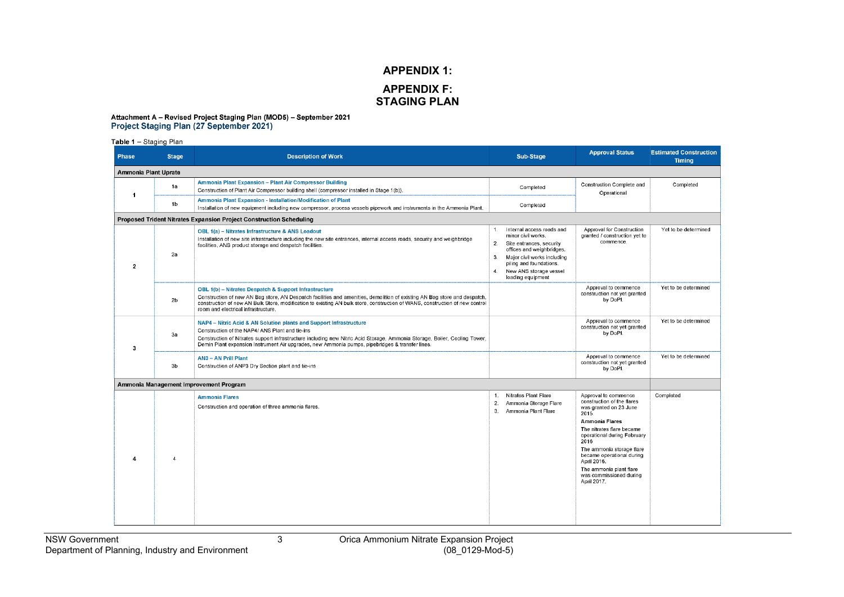### **APPENDIX 1: APPENDIX F: STAGING PLAN**

## Attachment A - Revised Project Staging Plan (MOD5) - September 2021<br>Project Staging Plan (27 September 2021)

Table 1 - Staging Plan

| <b>Description of Work</b>                                                                                                                                                                                                                                                                                                                                | Sub-Stage                                                                                                                                                                                                                                                | <b>Approval Status</b>                                                                                                                                                                                                                                                                                                           | <b>Estimated Construction</b><br><b>Timing</b> |  |  |  |
|-----------------------------------------------------------------------------------------------------------------------------------------------------------------------------------------------------------------------------------------------------------------------------------------------------------------------------------------------------------|----------------------------------------------------------------------------------------------------------------------------------------------------------------------------------------------------------------------------------------------------------|----------------------------------------------------------------------------------------------------------------------------------------------------------------------------------------------------------------------------------------------------------------------------------------------------------------------------------|------------------------------------------------|--|--|--|
| Ammonia Plant Uprate                                                                                                                                                                                                                                                                                                                                      |                                                                                                                                                                                                                                                          |                                                                                                                                                                                                                                                                                                                                  |                                                |  |  |  |
| Ammonia Plant Expansion - Plant Air Compressor Building<br>Construction of Plant Air Compressor building shell (compressor installed in Stage 1(b)).                                                                                                                                                                                                      | Completed                                                                                                                                                                                                                                                | Construction Complete and                                                                                                                                                                                                                                                                                                        | Completed                                      |  |  |  |
| Ammonia Plant Expansion - Installation/Modification of Plant<br>Installation of new equipment including new compressor, process vessels pipework and instruments in the Ammonia Plant.                                                                                                                                                                    | Completed                                                                                                                                                                                                                                                |                                                                                                                                                                                                                                                                                                                                  |                                                |  |  |  |
|                                                                                                                                                                                                                                                                                                                                                           |                                                                                                                                                                                                                                                          |                                                                                                                                                                                                                                                                                                                                  |                                                |  |  |  |
| OBL 1(a) - Nitrates Infrastructure & ANS Loadout<br>Installation of new site infrastructure including the new site entrances, internal access roads, security and weighbridge<br>facilities, ANS product storage and despatch facilities.                                                                                                                 | Internal access roads and<br>$1$ .<br>minor civil works.<br>2 <sup>1</sup><br>Site entrances, security<br>offices and weighbridges.<br>Major civil works including<br>3.<br>piling and foundations.<br>New ANS storage vessel<br>4.<br>loading equipment | Approval for Construction<br>granted / construction yet to<br>commence.                                                                                                                                                                                                                                                          | Yet to be determined                           |  |  |  |
| OBL 1(b) - Nitrates Despatch & Support Infrastructure<br>Construction of new AN Bag store, AN Despatch facilities and amenities, demolition of existing AN Bag store and despatch,<br>construction of new AN Bulk Store, modification to existing AN bulk store, construction of WANS, construction of new control<br>room and electrical infrastructure. |                                                                                                                                                                                                                                                          | Approval to commence<br>construction not yet granted<br>by DoPI.                                                                                                                                                                                                                                                                 | Yet to be determined                           |  |  |  |
| NAP4 - Nitric Acid & AN Solution plants and Support Infrastructure<br>Construction of the NAP4/ ANS Plant and tie-ins<br>Construction of Nitrates support infrastructure including new Nitric Acid Storage, Ammonia Storage, Boiler, Cooling Tower,<br>Demin Plant expansion Instrument Air upgrades, new Ammonia pumps, pipebridges & transfer lines.    |                                                                                                                                                                                                                                                          | Approval to commence<br>construction not yet granted<br>by DoPI.                                                                                                                                                                                                                                                                 | Yet to be determined                           |  |  |  |
| <b>AN3 - AN Prill Plant</b><br>Construction of ANP3 Dry Section plant and tie-ins                                                                                                                                                                                                                                                                         |                                                                                                                                                                                                                                                          | Approval to commence<br>construction not yet granted<br>by DoPI.                                                                                                                                                                                                                                                                 | Yet to be determined                           |  |  |  |
|                                                                                                                                                                                                                                                                                                                                                           |                                                                                                                                                                                                                                                          |                                                                                                                                                                                                                                                                                                                                  |                                                |  |  |  |
| <b>Ammonia Flares</b><br>Construction and operation of three ammonia flares.                                                                                                                                                                                                                                                                              | Nitrates Plant Flare<br>1.<br>Ammonia Storage Flare<br>2.<br>3.<br>Ammonia Plant Flare                                                                                                                                                                   | Approval to commence<br>construction of the flares<br>was granted on 23 June<br>2015.<br><b>Ammonia Flares</b><br>The nitrates flare became<br>operational during February<br>2016<br>The ammonia storage flare<br>became operational during<br>April 2016.<br>The ammonia plant flare<br>was commissioned during<br>April 2017. | Completed                                      |  |  |  |
|                                                                                                                                                                                                                                                                                                                                                           | Proposed Trident Nitrates Expansion Project Construction Scheduling<br>Ammonia Management Improvement Program                                                                                                                                            |                                                                                                                                                                                                                                                                                                                                  | Operational                                    |  |  |  |